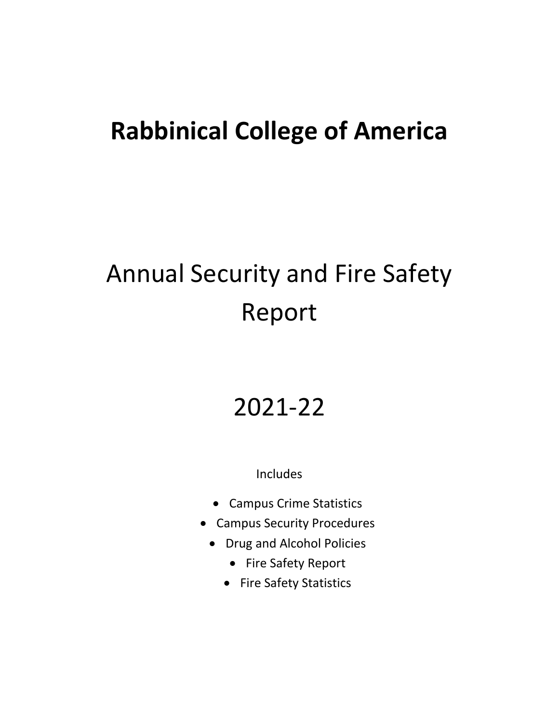## **Rabbinical College of America**

# Annual Security and Fire Safety Report

# 2021-22

Includes

- Campus Crime Statistics
- Campus Security Procedures
	- Drug and Alcohol Policies
		- Fire Safety Report
		- Fire Safety Statistics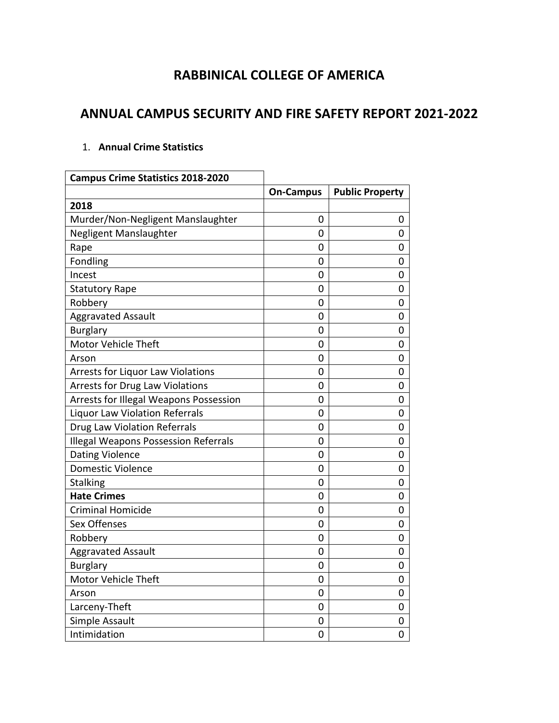### **RABBINICAL COLLEGE OF AMERICA**

### **ANNUAL CAMPUS SECURITY AND FIRE SAFETY REPORT 2021-2022**

#### 1. **Annual Crime Statistics**

| <b>Campus Crime Statistics 2018-2020</b>    |                  |                        |  |
|---------------------------------------------|------------------|------------------------|--|
|                                             | <b>On-Campus</b> | <b>Public Property</b> |  |
| 2018                                        |                  |                        |  |
| Murder/Non-Negligent Manslaughter           | 0                | 0                      |  |
| Negligent Manslaughter                      | 0                | 0                      |  |
| Rape                                        | 0                | 0                      |  |
| Fondling                                    | 0                | 0                      |  |
| Incest                                      | 0                | 0                      |  |
| <b>Statutory Rape</b>                       | 0                | 0                      |  |
| Robbery                                     | 0                | 0                      |  |
| <b>Aggravated Assault</b>                   | 0                | 0                      |  |
| <b>Burglary</b>                             | 0                | 0                      |  |
| Motor Vehicle Theft                         | 0                | 0                      |  |
| Arson                                       | 0                | 0                      |  |
| <b>Arrests for Liquor Law Violations</b>    | 0                | 0                      |  |
| <b>Arrests for Drug Law Violations</b>      | 0                | 0                      |  |
| Arrests for Illegal Weapons Possession      | 0                | 0                      |  |
| <b>Liquor Law Violation Referrals</b>       | 0                | 0                      |  |
| <b>Drug Law Violation Referrals</b>         | 0                | 0                      |  |
| <b>Illegal Weapons Possession Referrals</b> | 0                | 0                      |  |
| <b>Dating Violence</b>                      | 0                | 0                      |  |
| <b>Domestic Violence</b>                    | 0                | 0                      |  |
| <b>Stalking</b>                             | 0                | 0                      |  |
| <b>Hate Crimes</b>                          | 0                | 0                      |  |
| <b>Criminal Homicide</b>                    | 0                | 0                      |  |
| <b>Sex Offenses</b>                         | 0                | 0                      |  |
| Robbery                                     | 0                | 0                      |  |
| Aggravated Assault                          | 0                | 0                      |  |
| <b>Burglary</b>                             | 0                | 0                      |  |
| Motor Vehicle Theft                         | 0                | 0                      |  |
| Arson                                       | 0                | 0                      |  |
| Larceny-Theft                               | 0                | 0                      |  |
| Simple Assault                              | 0                | 0                      |  |
| Intimidation                                | $\overline{0}$   | 0                      |  |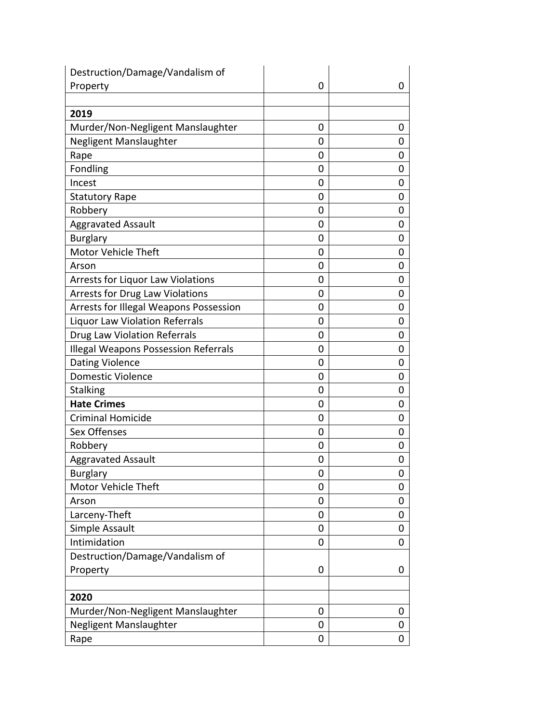| Destruction/Damage/Vandalism of             |   |   |
|---------------------------------------------|---|---|
| Property                                    | 0 | 0 |
|                                             |   |   |
| 2019                                        |   |   |
| Murder/Non-Negligent Manslaughter           | 0 | 0 |
| Negligent Manslaughter                      | 0 | 0 |
| Rape                                        | 0 | 0 |
| Fondling                                    | 0 | 0 |
| Incest                                      | 0 | 0 |
| <b>Statutory Rape</b>                       | 0 | 0 |
| Robbery                                     | 0 | 0 |
| <b>Aggravated Assault</b>                   | 0 | 0 |
| <b>Burglary</b>                             | 0 | 0 |
| <b>Motor Vehicle Theft</b>                  | 0 | 0 |
| Arson                                       | 0 | 0 |
| <b>Arrests for Liquor Law Violations</b>    | 0 | 0 |
| <b>Arrests for Drug Law Violations</b>      | 0 | 0 |
| Arrests for Illegal Weapons Possession      | 0 | 0 |
| Liquor Law Violation Referrals              | 0 | 0 |
| <b>Drug Law Violation Referrals</b>         | 0 | 0 |
| <b>Illegal Weapons Possession Referrals</b> | 0 | 0 |
| <b>Dating Violence</b>                      | 0 | 0 |
| <b>Domestic Violence</b>                    | 0 | 0 |
| <b>Stalking</b>                             | 0 | 0 |
| <b>Hate Crimes</b>                          | 0 | 0 |
| <b>Criminal Homicide</b>                    | 0 | 0 |
| Sex Offenses                                | 0 | 0 |
| Robbery                                     | 0 | 0 |
| <b>Aggravated Assault</b>                   | 0 | 0 |
| <b>Burglary</b>                             | 0 | 0 |
| Motor Vehicle Theft                         | 0 | 0 |
| Arson                                       | 0 | 0 |
| Larceny-Theft                               | 0 | 0 |
| Simple Assault                              | 0 | 0 |
| Intimidation                                | 0 | 0 |
| Destruction/Damage/Vandalism of             |   |   |
| Property                                    | 0 | 0 |
|                                             |   |   |
| 2020                                        |   |   |
| Murder/Non-Negligent Manslaughter           | 0 | 0 |
| Negligent Manslaughter                      | 0 | 0 |
| Rape                                        | 0 | 0 |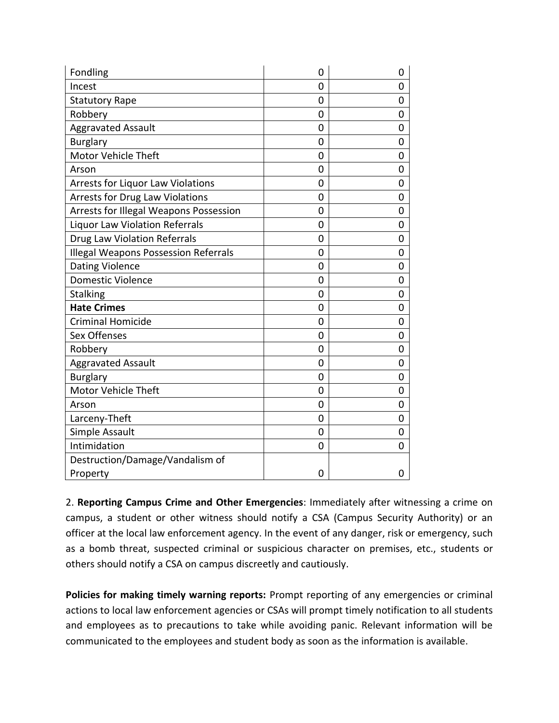| Fondling                                    | 0              | 0 |
|---------------------------------------------|----------------|---|
| Incest                                      | 0              | 0 |
| <b>Statutory Rape</b>                       | 0              | 0 |
| Robbery                                     | 0              | 0 |
| <b>Aggravated Assault</b>                   | 0              | 0 |
| <b>Burglary</b>                             | 0              | 0 |
| Motor Vehicle Theft                         | 0              | 0 |
| Arson                                       | 0              | 0 |
| <b>Arrests for Liquor Law Violations</b>    | 0              | 0 |
| <b>Arrests for Drug Law Violations</b>      | 0              | 0 |
| Arrests for Illegal Weapons Possession      | $\overline{0}$ | 0 |
| Liquor Law Violation Referrals              | 0              | 0 |
| <b>Drug Law Violation Referrals</b>         | 0              | 0 |
| <b>Illegal Weapons Possession Referrals</b> | 0              | 0 |
| <b>Dating Violence</b>                      | $\overline{0}$ | 0 |
| <b>Domestic Violence</b>                    | $\overline{0}$ | 0 |
| <b>Stalking</b>                             | 0              | 0 |
| <b>Hate Crimes</b>                          | 0              | 0 |
| <b>Criminal Homicide</b>                    | 0              | 0 |
| Sex Offenses                                | 0              | 0 |
| Robbery                                     | 0              | 0 |
| <b>Aggravated Assault</b>                   | 0              | 0 |
| <b>Burglary</b>                             | 0              | 0 |
| Motor Vehicle Theft                         | 0              | 0 |
| Arson                                       | 0              | 0 |
| Larceny-Theft                               | 0              | 0 |
| Simple Assault                              | 0              | 0 |
| Intimidation                                | 0              | 0 |
| Destruction/Damage/Vandalism of             |                |   |
| Property                                    | 0              | 0 |

2. **Reporting Campus Crime and Other Emergencies**: Immediately after witnessing a crime on campus, a student or other witness should notify a CSA (Campus Security Authority) or an officer at the local law enforcement agency. In the event of any danger, risk or emergency, such as a bomb threat, suspected criminal or suspicious character on premises, etc., students or others should notify a CSA on campus discreetly and cautiously.

**Policies for making timely warning reports:** Prompt reporting of any emergencies or criminal actions to local law enforcement agencies or CSAs will prompt timely notification to all students and employees as to precautions to take while avoiding panic. Relevant information will be communicated to the employees and student body as soon as the information is available.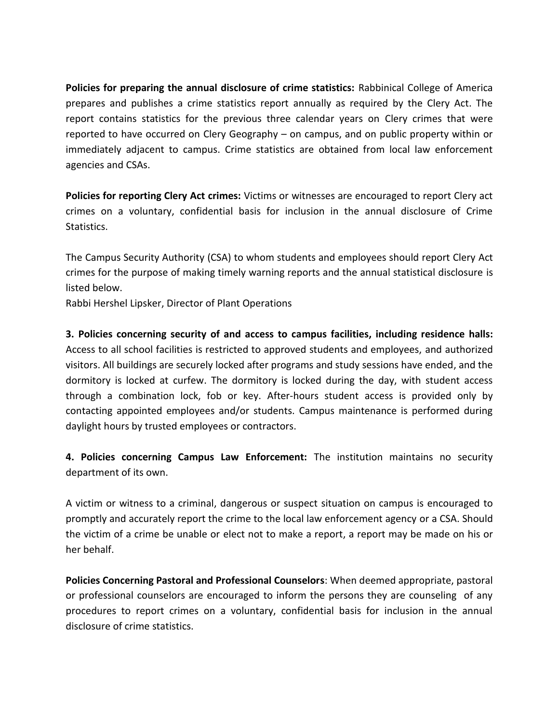**Policies for preparing the annual disclosure of crime statistics:** Rabbinical College of America prepares and publishes a crime statistics report annually as required by the Clery Act. The report contains statistics for the previous three calendar years on Clery crimes that were reported to have occurred on Clery Geography – on campus, and on public property within or immediately adjacent to campus. Crime statistics are obtained from local law enforcement agencies and CSAs.

**Policies for reporting Clery Act crimes:** Victims or witnesses are encouraged to report Clery act crimes on a voluntary, confidential basis for inclusion in the annual disclosure of Crime Statistics.

The Campus Security Authority (CSA) to whom students and employees should report Clery Act crimes for the purpose of making timely warning reports and the annual statistical disclosure is listed below.

Rabbi Hershel Lipsker, Director of Plant Operations

**3. Policies concerning security of and access to campus facilities, including residence halls:**  Access to all school facilities is restricted to approved students and employees, and authorized visitors. All buildings are securely locked after programs and study sessions have ended, and the dormitory is locked at curfew. The dormitory is locked during the day, with student access through a combination lock, fob or key. After-hours student access is provided only by contacting appointed employees and/or students. Campus maintenance is performed during daylight hours by trusted employees or contractors.

**4. Policies concerning Campus Law Enforcement:** The institution maintains no security department of its own.

A victim or witness to a criminal, dangerous or suspect situation on campus is encouraged to promptly and accurately report the crime to the local law enforcement agency or a CSA. Should the victim of a crime be unable or elect not to make a report, a report may be made on his or her behalf.

**Policies Concerning Pastoral and Professional Counselors**: When deemed appropriate, pastoral or professional counselors are encouraged to inform the persons they are counseling of any procedures to report crimes on a voluntary, confidential basis for inclusion in the annual disclosure of crime statistics.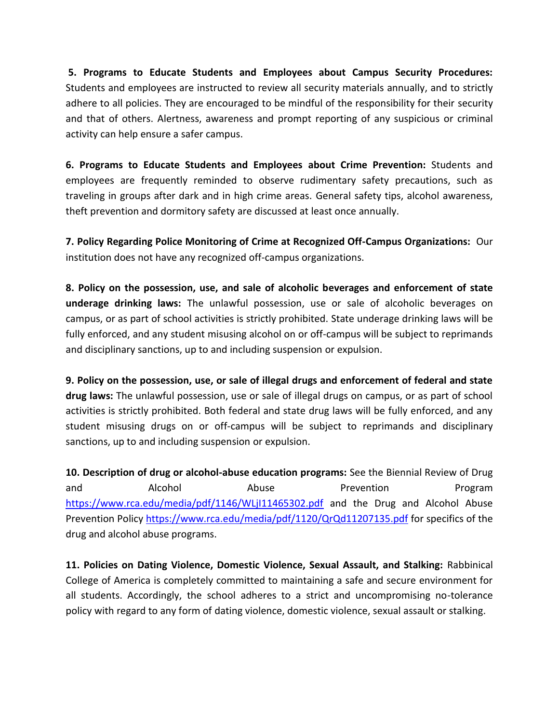**5. Programs to Educate Students and Employees about Campus Security Procedures:**  Students and employees are instructed to review all security materials annually, and to strictly adhere to all policies. They are encouraged to be mindful of the responsibility for their security and that of others. Alertness, awareness and prompt reporting of any suspicious or criminal activity can help ensure a safer campus.

**6. Programs to Educate Students and Employees about Crime Prevention:** Students and employees are frequently reminded to observe rudimentary safety precautions, such as traveling in groups after dark and in high crime areas. General safety tips, alcohol awareness, theft prevention and dormitory safety are discussed at least once annually.

**7. Policy Regarding Police Monitoring of Crime at Recognized Off-Campus Organizations:** Our institution does not have any recognized off-campus organizations.

**8. Policy on the possession, use, and sale of alcoholic beverages and enforcement of state underage drinking laws:** The unlawful possession, use or sale of alcoholic beverages on campus, or as part of school activities is strictly prohibited. State underage drinking laws will be fully enforced, and any student misusing alcohol on or off-campus will be subject to reprimands and disciplinary sanctions, up to and including suspension or expulsion.

**9. Policy on the possession, use, or sale of illegal drugs and enforcement of federal and state drug laws:** The unlawful possession, use or sale of illegal drugs on campus, or as part of school activities is strictly prohibited. Both federal and state drug laws will be fully enforced, and any student misusing drugs on or off-campus will be subject to reprimands and disciplinary sanctions, up to and including suspension or expulsion.

**10. Description of drug or alcohol-abuse education programs:** See the Biennial Review of Drug and **Alcohol Abuse Prevention Program** <https://www.rca.edu/media/pdf/1146/WLjI11465302.pdf> and the Drug and Alcohol Abuse Prevention Policy <https://www.rca.edu/media/pdf/1120/QrQd11207135.pdf> for specifics of the drug and alcohol abuse programs.

**11. Policies on Dating Violence, Domestic Violence, Sexual Assault, and Stalking:** Rabbinical College of America is completely committed to maintaining a safe and secure environment for all students. Accordingly, the school adheres to a strict and uncompromising no-tolerance policy with regard to any form of dating violence, domestic violence, sexual assault or stalking.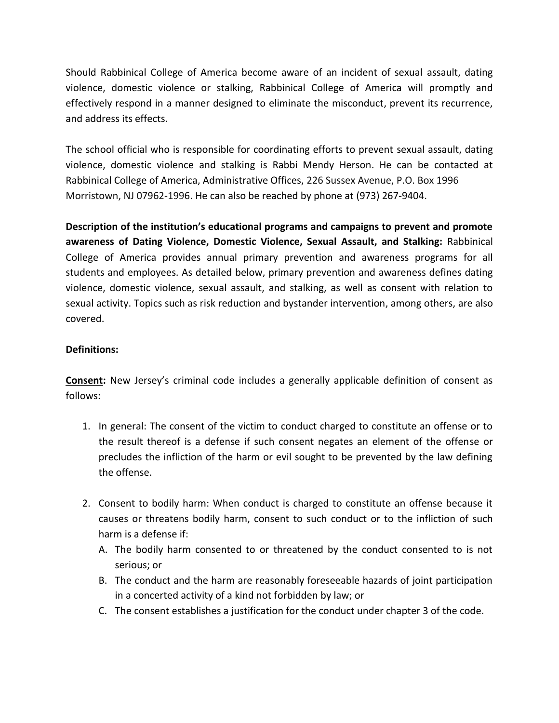Should Rabbinical College of America become aware of an incident of sexual assault, dating violence, domestic violence or stalking, Rabbinical College of America will promptly and effectively respond in a manner designed to eliminate the misconduct, prevent its recurrence, and address its effects.

The school official who is responsible for coordinating efforts to prevent sexual assault, dating violence, domestic violence and stalking is Rabbi Mendy Herson. He can be contacted at Rabbinical College of America, Administrative Offices, 226 Sussex Avenue, P.O. Box 1996 Morristown, NJ 07962-1996. He can also be reached by phone at (973) 267-9404.

**Description of the institution's educational programs and campaigns to prevent and promote awareness of Dating Violence, Domestic Violence, Sexual Assault, and Stalking:** Rabbinical College of America provides annual primary prevention and awareness programs for all students and employees. As detailed below, primary prevention and awareness defines dating violence, domestic violence, sexual assault, and stalking, as well as consent with relation to sexual activity. Topics such as risk reduction and bystander intervention, among others, are also covered.

#### **Definitions:**

**Consent:** New Jersey's criminal code includes a generally applicable definition of consent as follows:

- 1. In general: The consent of the victim to conduct charged to constitute an offense or to the result thereof is a defense if such consent negates an element of the offense or precludes the infliction of the harm or evil sought to be prevented by the law defining the offense.
- 2. Consent to bodily harm: When conduct is charged to constitute an offense because it causes or threatens bodily harm, consent to such conduct or to the infliction of such harm is a defense if:
	- A. The bodily harm consented to or threatened by the conduct consented to is not serious; or
	- B. The conduct and the harm are reasonably foreseeable hazards of joint participation in a concerted activity of a kind not forbidden by law; or
	- C. The consent establishes a justification for the conduct under chapter 3 of the code.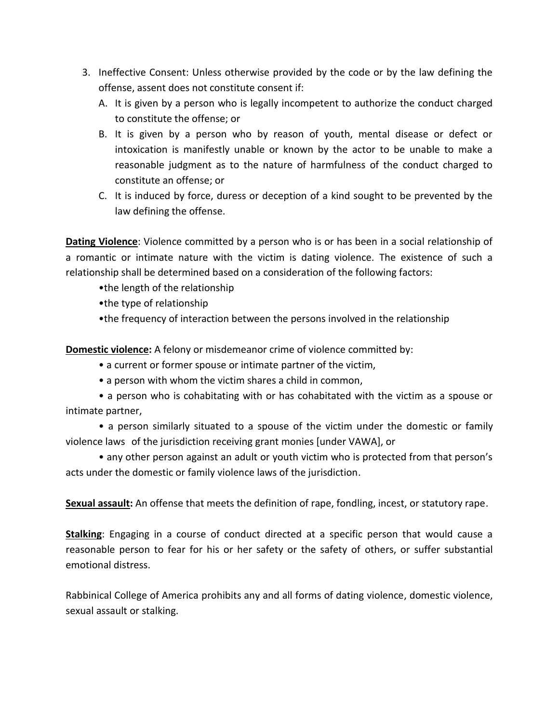- 3. Ineffective Consent: Unless otherwise provided by the code or by the law defining the offense, assent does not constitute consent if:
	- A. It is given by a person who is legally incompetent to authorize the conduct charged to constitute the offense; or
	- B. It is given by a person who by reason of youth, mental disease or defect or intoxication is manifestly unable or known by the actor to be unable to make a reasonable judgment as to the nature of harmfulness of the conduct charged to constitute an offense; or
	- C. It is induced by force, duress or deception of a kind sought to be prevented by the law defining the offense.

**Dating Violence**: Violence committed by a person who is or has been in a social relationship of a romantic or intimate nature with the victim is dating violence. The existence of such a relationship shall be determined based on a consideration of the following factors:

- •the length of the relationship
- •the type of relationship
- •the frequency of interaction between the persons involved in the relationship

**Domestic violence:** A felony or misdemeanor crime of violence committed by:

- a current or former spouse or intimate partner of the victim,
- a person with whom the victim shares a child in common,

• a person who is cohabitating with or has cohabitated with the victim as a spouse or intimate partner,

• a person similarly situated to a spouse of the victim under the domestic or family violence laws of the jurisdiction receiving grant monies [under VAWA], or

• any other person against an adult or youth victim who is protected from that person's acts under the domestic or family violence laws of the jurisdiction.

**Sexual assault:** An offense that meets the definition of rape, fondling, incest, or statutory rape.

**Stalking**: Engaging in a course of conduct directed at a specific person that would cause a reasonable person to fear for his or her safety or the safety of others, or suffer substantial emotional distress.

Rabbinical College of America prohibits any and all forms of dating violence, domestic violence, sexual assault or stalking.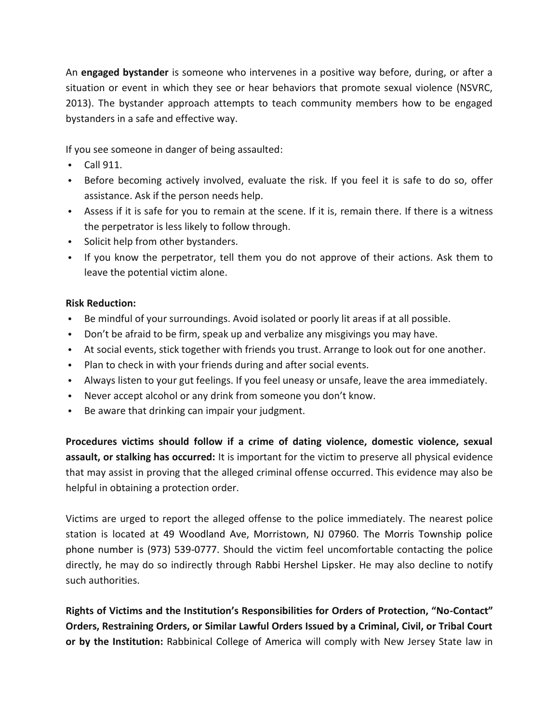An **engaged bystander** is someone who intervenes in a positive way before, during, or after a situation or event in which they see or hear behaviors that promote sexual violence (NSVRC, 2013). The bystander approach attempts to teach community members how to be engaged bystanders in a safe and effective way.

If you see someone in danger of being assaulted:

- Call 911.
- Before becoming actively involved, evaluate the risk. If you feel it is safe to do so, offer assistance. Ask if the person needs help.
- Assess if it is safe for you to remain at the scene. If it is, remain there. If there is a witness the perpetrator is less likely to follow through.
- Solicit help from other bystanders.
- If you know the perpetrator, tell them you do not approve of their actions. Ask them to leave the potential victim alone.

#### **Risk Reduction:**

- Be mindful of your surroundings. Avoid isolated or poorly lit areas if at all possible.
- Don't be afraid to be firm, speak up and verbalize any misgivings you may have.
- At social events, stick together with friends you trust. Arrange to look out for one another.
- Plan to check in with your friends during and after social events.
- Always listen to your gut feelings. If you feel uneasy or unsafe, leave the area immediately.
- Never accept alcohol or any drink from someone you don't know.
- Be aware that drinking can impair your judgment.

**Procedures victims should follow if a crime of dating violence, domestic violence, sexual assault, or stalking has occurred:** It is important for the victim to preserve all physical evidence that may assist in proving that the alleged criminal offense occurred. This evidence may also be helpful in obtaining a protection order.

Victims are urged to report the alleged offense to the police immediately. The nearest police station is located at 49 Woodland Ave, Morristown, NJ 07960. The Morris Township police phone number is (973) 539-0777. Should the victim feel uncomfortable contacting the police directly, he may do so indirectly through Rabbi Hershel Lipsker. He may also decline to notify such authorities.

**Rights of Victims and the Institution's Responsibilities for Orders of Protection, "No-Contact" Orders, Restraining Orders, or Similar Lawful Orders Issued by a Criminal, Civil, or Tribal Court or by the Institution:** Rabbinical College of America will comply with New Jersey State law in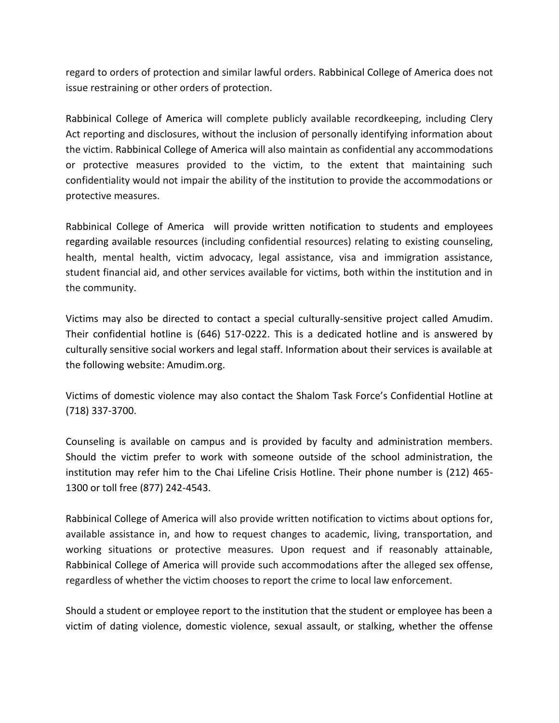regard to orders of protection and similar lawful orders. Rabbinical College of America does not issue restraining or other orders of protection.

Rabbinical College of America will complete publicly available recordkeeping, including Clery Act reporting and disclosures, without the inclusion of personally identifying information about the victim. Rabbinical College of America will also maintain as confidential any accommodations or protective measures provided to the victim, to the extent that maintaining such confidentiality would not impair the ability of the institution to provide the accommodations or protective measures.

Rabbinical College of America will provide written notification to students and employees regarding available resources (including confidential resources) relating to existing counseling, health, mental health, victim advocacy, legal assistance, visa and immigration assistance, student financial aid, and other services available for victims, both within the institution and in the community.

Victims may also be directed to contact a special culturally-sensitive project called Amudim. Their confidential hotline is (646) 517-0222. This is a dedicated hotline and is answered by culturally sensitive social workers and legal staff. Information about their services is available at the following website: Amudim.org.

Victims of domestic violence may also contact the Shalom Task Force's Confidential Hotline at (718) 337-3700.

Counseling is available on campus and is provided by faculty and administration members. Should the victim prefer to work with someone outside of the school administration, the institution may refer him to the Chai Lifeline Crisis Hotline. Their phone number is (212) 465- 1300 or toll free (877) 242-4543.

Rabbinical College of America will also provide written notification to victims about options for, available assistance in, and how to request changes to academic, living, transportation, and working situations or protective measures. Upon request and if reasonably attainable, Rabbinical College of America will provide such accommodations after the alleged sex offense, regardless of whether the victim chooses to report the crime to local law enforcement.

Should a student or employee report to the institution that the student or employee has been a victim of dating violence, domestic violence, sexual assault, or stalking, whether the offense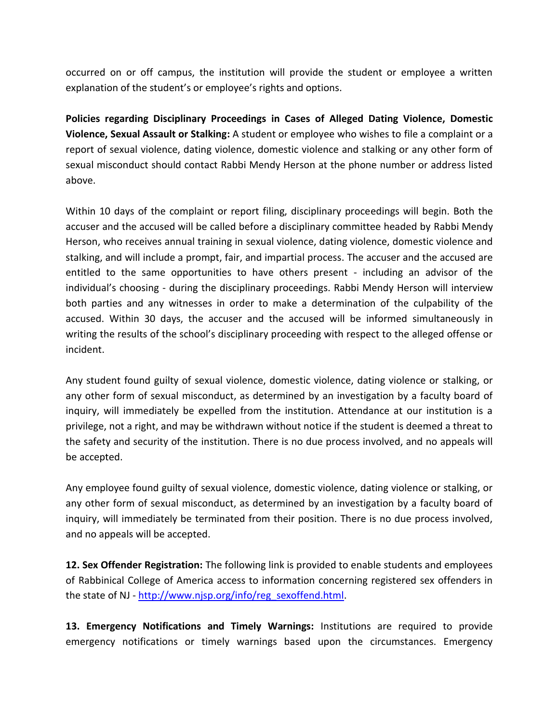occurred on or off campus, the institution will provide the student or employee a written explanation of the student's or employee's rights and options.

**Policies regarding Disciplinary Proceedings in Cases of Alleged Dating Violence, Domestic Violence, Sexual Assault or Stalking:** A student or employee who wishes to file a complaint or a report of sexual violence, dating violence, domestic violence and stalking or any other form of sexual misconduct should contact Rabbi Mendy Herson at the phone number or address listed above.

Within 10 days of the complaint or report filing, disciplinary proceedings will begin. Both the accuser and the accused will be called before a disciplinary committee headed by Rabbi Mendy Herson, who receives annual training in sexual violence, dating violence, domestic violence and stalking, and will include a prompt, fair, and impartial process. The accuser and the accused are entitled to the same opportunities to have others present - including an advisor of the individual's choosing - during the disciplinary proceedings. Rabbi Mendy Herson will interview both parties and any witnesses in order to make a determination of the culpability of the accused. Within 30 days, the accuser and the accused will be informed simultaneously in writing the results of the school's disciplinary proceeding with respect to the alleged offense or incident.

Any student found guilty of sexual violence, domestic violence, dating violence or stalking, or any other form of sexual misconduct, as determined by an investigation by a faculty board of inquiry, will immediately be expelled from the institution. Attendance at our institution is a privilege, not a right, and may be withdrawn without notice if the student is deemed a threat to the safety and security of the institution. There is no due process involved, and no appeals will be accepted.

Any employee found guilty of sexual violence, domestic violence, dating violence or stalking, or any other form of sexual misconduct, as determined by an investigation by a faculty board of inquiry, will immediately be terminated from their position. There is no due process involved, and no appeals will be accepted.

**12. Sex Offender Registration:** The following link is provided to enable students and employees of Rabbinical College of America access to information concerning registered sex offenders in the state of NJ - [http://www.njsp.org/info/reg\\_sexoffend.html.](http://www.njsp.org/info/reg_sexoffend.html)

**13. Emergency Notifications and Timely Warnings:** Institutions are required to provide emergency notifications or timely warnings based upon the circumstances. Emergency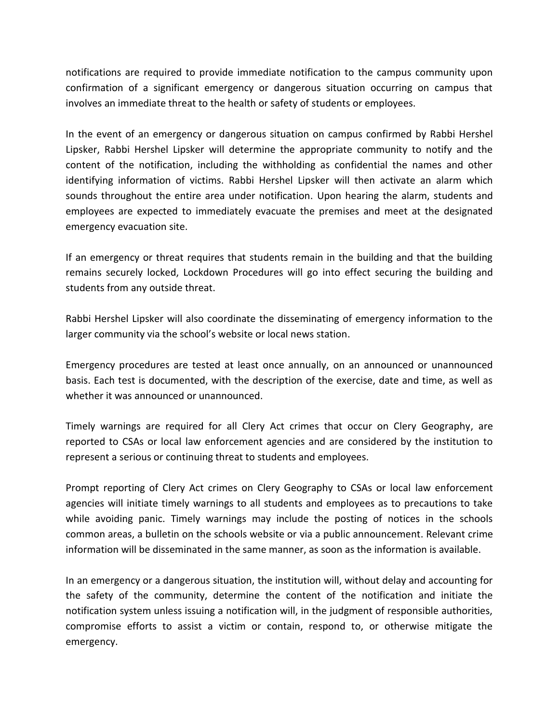notifications are required to provide immediate notification to the campus community upon confirmation of a significant emergency or dangerous situation occurring on campus that involves an immediate threat to the health or safety of students or employees.

In the event of an emergency or dangerous situation on campus confirmed by Rabbi Hershel Lipsker, Rabbi Hershel Lipsker will determine the appropriate community to notify and the content of the notification, including the withholding as confidential the names and other identifying information of victims. Rabbi Hershel Lipsker will then activate an alarm which sounds throughout the entire area under notification. Upon hearing the alarm, students and employees are expected to immediately evacuate the premises and meet at the designated emergency evacuation site.

If an emergency or threat requires that students remain in the building and that the building remains securely locked, Lockdown Procedures will go into effect securing the building and students from any outside threat.

Rabbi Hershel Lipsker will also coordinate the disseminating of emergency information to the larger community via the school's website or local news station.

Emergency procedures are tested at least once annually, on an announced or unannounced basis. Each test is documented, with the description of the exercise, date and time, as well as whether it was announced or unannounced.

Timely warnings are required for all Clery Act crimes that occur on Clery Geography, are reported to CSAs or local law enforcement agencies and are considered by the institution to represent a serious or continuing threat to students and employees.

Prompt reporting of Clery Act crimes on Clery Geography to CSAs or local law enforcement agencies will initiate timely warnings to all students and employees as to precautions to take while avoiding panic. Timely warnings may include the posting of notices in the schools common areas, a bulletin on the schools website or via a public announcement. Relevant crime information will be disseminated in the same manner, as soon as the information is available.

In an emergency or a dangerous situation, the institution will, without delay and accounting for the safety of the community, determine the content of the notification and initiate the notification system unless issuing a notification will, in the judgment of responsible authorities, compromise efforts to assist a victim or contain, respond to, or otherwise mitigate the emergency.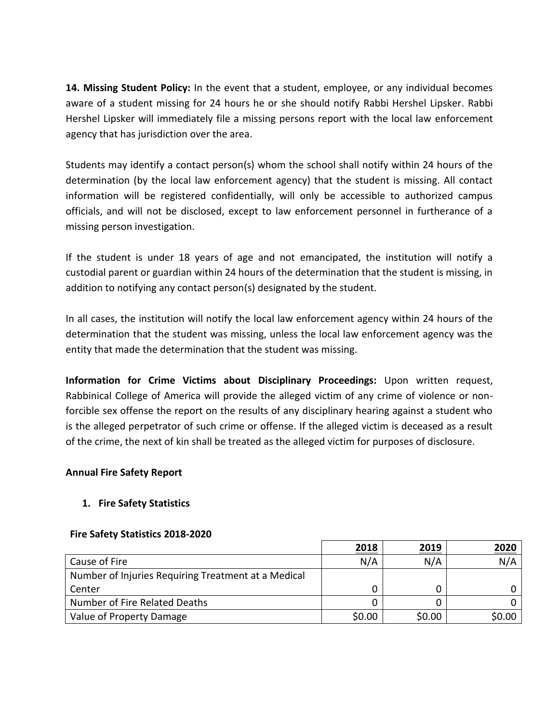**14. Missing Student Policy:** In the event that a student, employee, or any individual becomes aware of a student missing for 24 hours he or she should notify Rabbi Hershel Lipsker. Rabbi Hershel Lipsker will immediately file a missing persons report with the local law enforcement agency that has jurisdiction over the area.

Students may identify a contact person(s) whom the school shall notify within 24 hours of the determination (by the local law enforcement agency) that the student is missing. All contact information will be registered confidentially, will only be accessible to authorized campus officials, and will not be disclosed, except to law enforcement personnel in furtherance of a missing person investigation.

If the student is under 18 years of age and not emancipated, the institution will notify a custodial parent or guardian within 24 hours of the determination that the student is missing, in addition to notifying any contact person(s) designated by the student.

In all cases, the institution will notify the local law enforcement agency within 24 hours of the determination that the student was missing, unless the local law enforcement agency was the entity that made the determination that the student was missing.

**Information for Crime Victims about Disciplinary Proceedings:** Upon written request, Rabbinical College of America will provide the alleged victim of any crime of violence or nonforcible sex offense the report on the results of any disciplinary hearing against a student who is the alleged perpetrator of such crime or offense. If the alleged victim is deceased as a result of the crime, the next of kin shall be treated as the alleged victim for purposes of disclosure.

#### **Annual Fire Safety Report**

#### **1. Fire Safety Statistics**

#### **Fire Safety Statistics 2018-2020**

|                                                     | 2018   | 2019   | <u>2020</u> |
|-----------------------------------------------------|--------|--------|-------------|
| Cause of Fire                                       | N/A    | N/A    | N/A         |
| Number of Injuries Requiring Treatment at a Medical |        |        |             |
| Center                                              |        |        |             |
| Number of Fire Related Deaths                       |        |        |             |
| Value of Property Damage                            | \$0.00 | \$0.00 | \$0.00      |